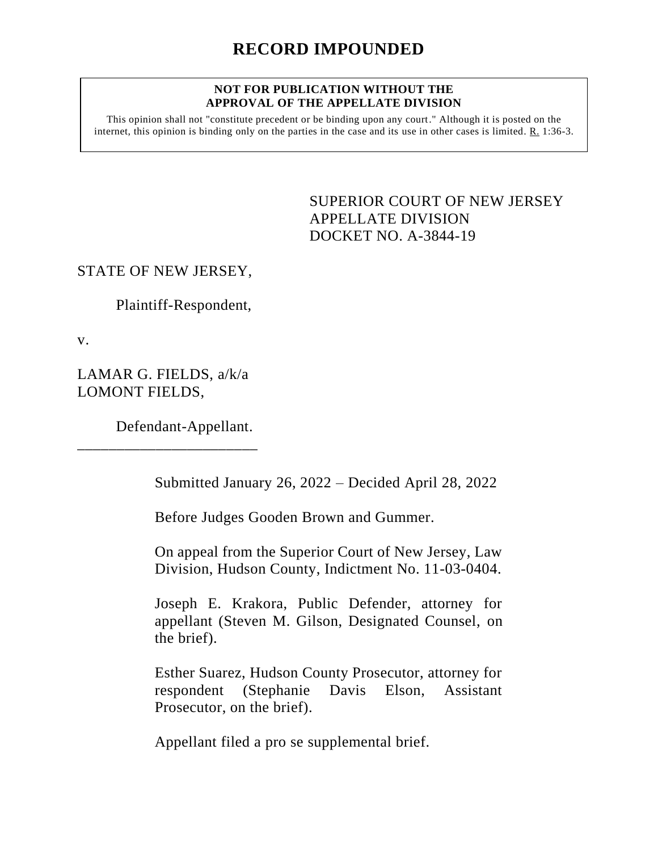#### **NOT FOR PUBLICATION WITHOUT THE APPROVAL OF THE APPELLATE DIVISION**

This opinion shall not "constitute precedent or be binding upon any court." Although it is posted on the internet, this opinion is binding only on the parties in the case and its use in other cases is limited. R. 1:36-3.

> <span id="page-0-0"></span>SUPERIOR COURT OF NEW JERSEY APPELLATE DIVISION DOCKET NO. A-3844-19

### STATE OF NEW JERSEY,

Plaintiff-Respondent,

v.

LAMAR G. FIELDS, a/k/a LOMONT FIELDS,

\_\_\_\_\_\_\_\_\_\_\_\_\_\_\_\_\_\_\_\_\_\_\_

Defendant-Appellant.

Submitted January 26, 2022 – Decided April 28, 2022

Before Judges Gooden Brown and Gummer.

On appeal from the Superior Court of New Jersey, Law Division, Hudson County, Indictment No. 11-03-0404.

Joseph E. Krakora, Public Defender, attorney for appellant (Steven M. Gilson, Designated Counsel, on the brief).

Esther Suarez, Hudson County Prosecutor, attorney for respondent (Stephanie Davis Elson, Assistant Prosecutor, on the brief).

Appellant filed a pro se supplemental brief.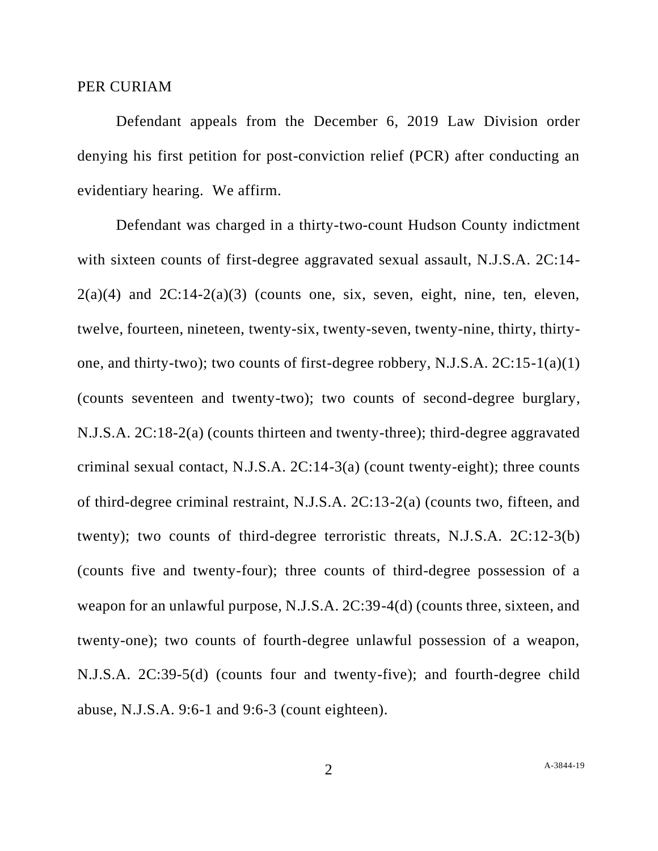#### PER CURIAM

Defendant appeals from the December 6, 2019 Law Division order denying his first petition for post-conviction relief (PCR) after conducting an evidentiary hearing. We affirm.

Defendant was charged in a thirty-two-count Hudson County indictment with sixteen counts of first-degree aggravated sexual assault, N.J.S.A. 2C:14-  $2(a)(4)$  and  $2C:14-2(a)(3)$  (counts one, six, seven, eight, nine, ten, eleven, twelve, fourteen, nineteen, twenty-six, twenty-seven, twenty-nine, thirty, thirtyone, and thirty-two); two counts of first-degree robbery, N.J.S.A. 2C:15-1(a)(1) (counts seventeen and twenty-two); two counts of second-degree burglary, N.J.S.A. 2C:18-2(a) (counts thirteen and twenty-three); third-degree aggravated criminal sexual contact, N.J.S.A. 2C:14-3(a) (count twenty-eight); three counts of third-degree criminal restraint, N.J.S.A. 2C:13-2(a) (counts two, fifteen, and twenty); two counts of third-degree terroristic threats, N.J.S.A. 2C:12-3(b) (counts five and twenty-four); three counts of third-degree possession of a weapon for an unlawful purpose, N.J.S.A. 2C:39-4(d) (counts three, sixteen, and twenty-one); two counts of fourth-degree unlawful possession of a weapon, N.J.S.A. 2C:39-5(d) (counts four and twenty-five); and fourth-degree child abuse, N.J.S.A. 9:6-1 and 9:6-3 (count eighteen).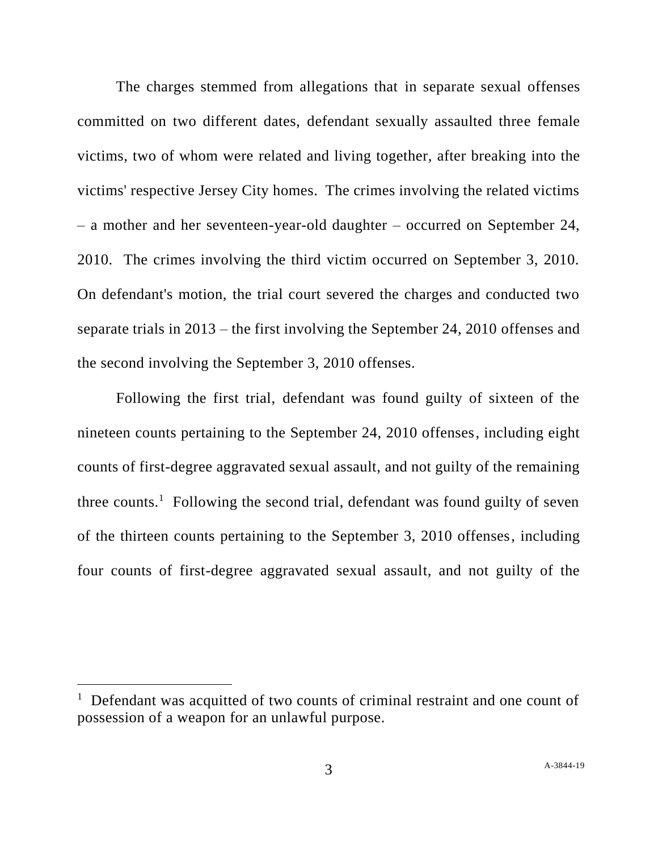The charges stemmed from allegations that in separate sexual offenses committed on two different dates, defendant sexually assaulted three female victims, two of whom were related and living together, after breaking into the victims' respective Jersey City homes. The crimes involving the related victims – a mother and her seventeen-year-old daughter – occurred on September 24, 2010. The crimes involving the third victim occurred on September 3, 2010. On defendant's motion, the trial court severed the charges and conducted two separate trials in 2013 – the first involving the September 24, 2010 offenses and the second involving the September 3, 2010 offenses.

Following the first trial, defendant was found guilty of sixteen of the nineteen counts pertaining to the September 24, 2010 offenses, including eight counts of first-degree aggravated sexual assault, and not guilty of the remaining three counts.<sup>1</sup> Following the second trial, defendant was found guilty of seven of the thirteen counts pertaining to the September 3, 2010 offenses, including four counts of first-degree aggravated sexual assault, and not guilty of the

<sup>&</sup>lt;sup>1</sup> Defendant was acquitted of two counts of criminal restraint and one count of possession of a weapon for an unlawful purpose.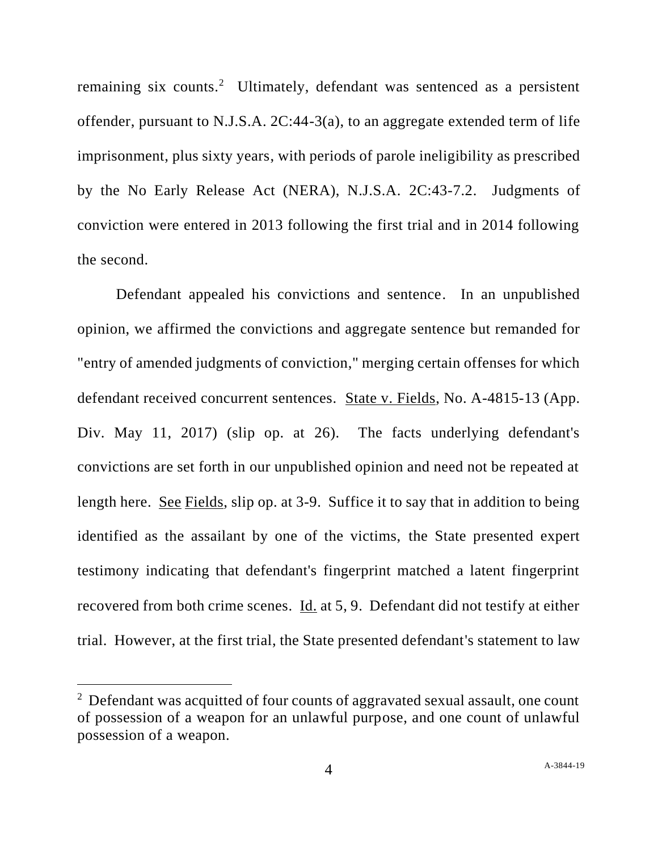remaining six counts.<sup>2</sup> Ultimately, defendant was sentenced as a persistent offender, pursuant to N.J.S.A. 2C:44-3(a), to an aggregate extended term of life imprisonment, plus sixty years, with periods of parole ineligibility as prescribed by the No Early Release Act (NERA), N.J.S.A. 2C:43-7.2. Judgments of conviction were entered in 2013 following the first trial and in 2014 following the second.

Defendant appealed his convictions and sentence. In an unpublished opinion, we affirmed the convictions and aggregate sentence but remanded for "entry of amended judgments of conviction," merging certain offenses for which defendant received concurrent sentences. State v. Fields, No. A-4815-13 (App. Div. May 11, 2017) (slip op. at 26). The facts underlying defendant's convictions are set forth in our unpublished opinion and need not be repeated at length here. See Fields, slip op. at 3-9. Suffice it to say that in addition to being identified as the assailant by one of the victims, the State presented expert testimony indicating that defendant's fingerprint matched a latent fingerprint recovered from both crime scenes. Id. at 5, 9. Defendant did not testify at either trial. However, at the first trial, the State presented defendant's statement to law

<sup>&</sup>lt;sup>2</sup> Defendant was acquitted of four counts of aggravated sexual assault, one count of possession of a weapon for an unlawful purpose, and one count of unlawful possession of a weapon.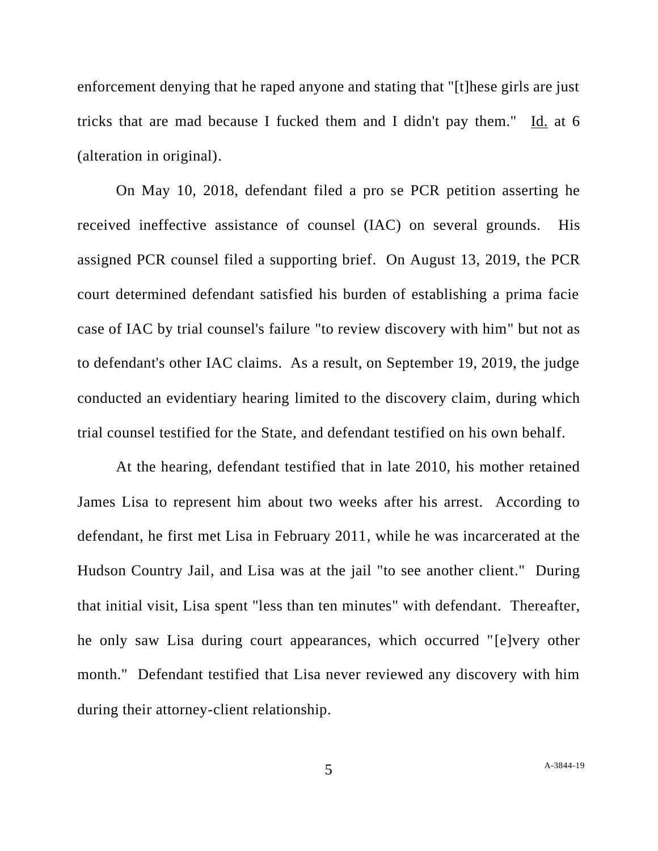enforcement denying that he raped anyone and stating that "[t]hese girls are just tricks that are mad because I fucked them and I didn't pay them." Id. at 6 (alteration in original).

On May 10, 2018, defendant filed a pro se PCR petition asserting he received ineffective assistance of counsel (IAC) on several grounds. His assigned PCR counsel filed a supporting brief. On August 13, 2019, the PCR court determined defendant satisfied his burden of establishing a prima facie case of IAC by trial counsel's failure "to review discovery with him" but not as to defendant's other IAC claims. As a result, on September 19, 2019, the judge conducted an evidentiary hearing limited to the discovery claim, during which trial counsel testified for the State, and defendant testified on his own behalf.

At the hearing, defendant testified that in late 2010, his mother retained James Lisa to represent him about two weeks after his arrest. According to defendant, he first met Lisa in February 2011, while he was incarcerated at the Hudson Country Jail, and Lisa was at the jail "to see another client." During that initial visit, Lisa spent "less than ten minutes" with defendant. Thereafter, he only saw Lisa during court appearances, which occurred "[e]very other month." Defendant testified that Lisa never reviewed any discovery with him during their attorney-client relationship.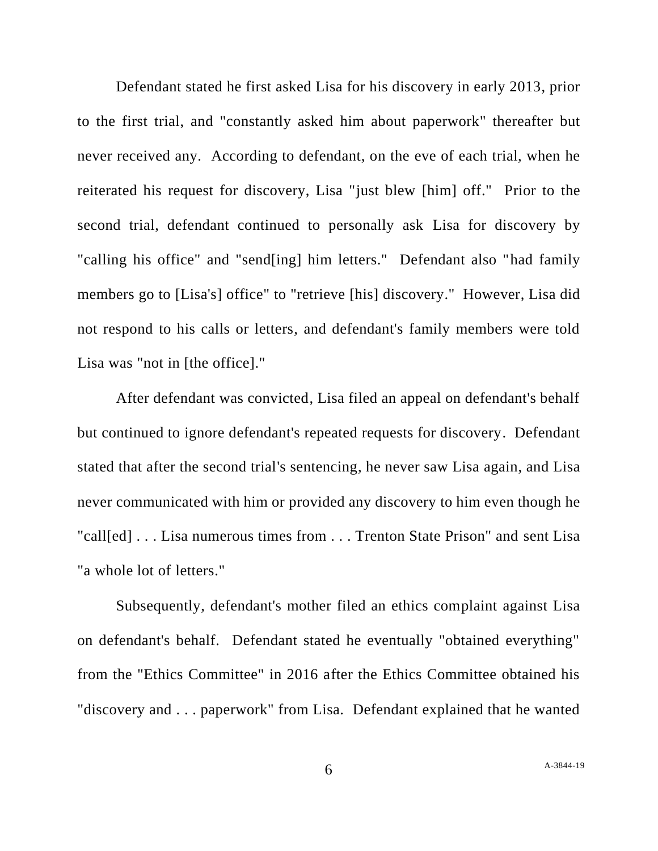Defendant stated he first asked Lisa for his discovery in early 2013, prior to the first trial, and "constantly asked him about paperwork" thereafter but never received any. According to defendant, on the eve of each trial, when he reiterated his request for discovery, Lisa "just blew [him] off." Prior to the second trial, defendant continued to personally ask Lisa for discovery by "calling his office" and "send[ing] him letters." Defendant also "had family members go to [Lisa's] office" to "retrieve [his] discovery." However, Lisa did not respond to his calls or letters, and defendant's family members were told Lisa was "not in [the office]."

After defendant was convicted, Lisa filed an appeal on defendant's behalf but continued to ignore defendant's repeated requests for discovery. Defendant stated that after the second trial's sentencing, he never saw Lisa again, and Lisa never communicated with him or provided any discovery to him even though he "call[ed] . . . Lisa numerous times from . . . Trenton State Prison" and sent Lisa "a whole lot of letters."

Subsequently, defendant's mother filed an ethics complaint against Lisa on defendant's behalf. Defendant stated he eventually "obtained everything" from the "Ethics Committee" in 2016 after the Ethics Committee obtained his "discovery and . . . paperwork" from Lisa. Defendant explained that he wanted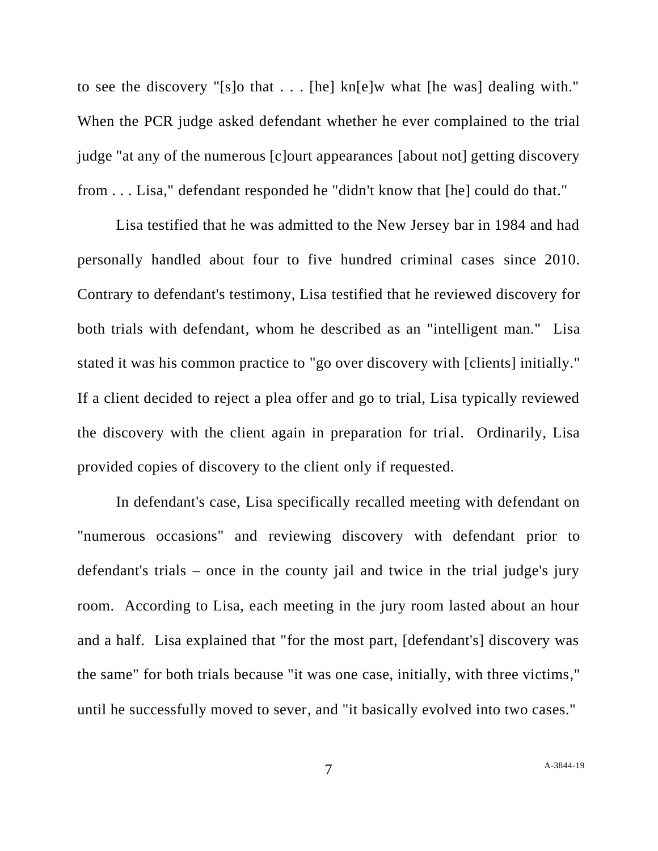to see the discovery "[s]o that . . . [he] kn[e]w what [he was] dealing with." When the PCR judge asked defendant whether he ever complained to the trial judge "at any of the numerous [c]ourt appearances [about not] getting discovery from . . . Lisa," defendant responded he "didn't know that [he] could do that."

Lisa testified that he was admitted to the New Jersey bar in 1984 and had personally handled about four to five hundred criminal cases since 2010. Contrary to defendant's testimony, Lisa testified that he reviewed discovery for both trials with defendant, whom he described as an "intelligent man." Lisa stated it was his common practice to "go over discovery with [clients] initially." If a client decided to reject a plea offer and go to trial, Lisa typically reviewed the discovery with the client again in preparation for trial. Ordinarily, Lisa provided copies of discovery to the client only if requested.

In defendant's case, Lisa specifically recalled meeting with defendant on "numerous occasions" and reviewing discovery with defendant prior to defendant's trials – once in the county jail and twice in the trial judge's jury room. According to Lisa, each meeting in the jury room lasted about an hour and a half. Lisa explained that "for the most part, [defendant's] discovery was the same" for both trials because "it was one case, initially, with three victims," until he successfully moved to sever, and "it basically evolved into two cases."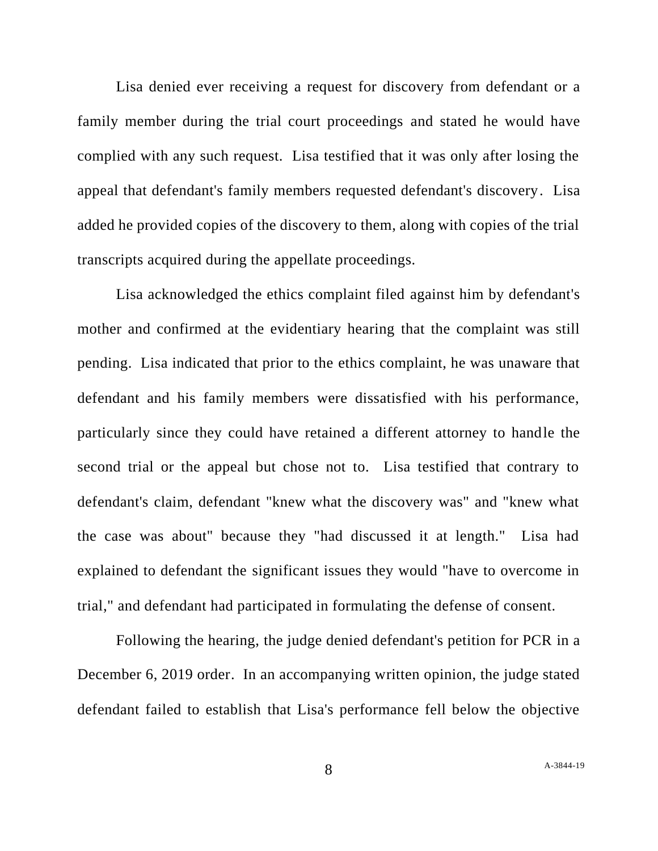Lisa denied ever receiving a request for discovery from defendant or a family member during the trial court proceedings and stated he would have complied with any such request. Lisa testified that it was only after losing the appeal that defendant's family members requested defendant's discovery. Lisa added he provided copies of the discovery to them, along with copies of the trial transcripts acquired during the appellate proceedings.

Lisa acknowledged the ethics complaint filed against him by defendant's mother and confirmed at the evidentiary hearing that the complaint was still pending. Lisa indicated that prior to the ethics complaint, he was unaware that defendant and his family members were dissatisfied with his performance, particularly since they could have retained a different attorney to handle the second trial or the appeal but chose not to. Lisa testified that contrary to defendant's claim, defendant "knew what the discovery was" and "knew what the case was about" because they "had discussed it at length." Lisa had explained to defendant the significant issues they would "have to overcome in trial," and defendant had participated in formulating the defense of consent.

Following the hearing, the judge denied defendant's petition for PCR in a December 6, 2019 order. In an accompanying written opinion, the judge stated defendant failed to establish that Lisa's performance fell below the objective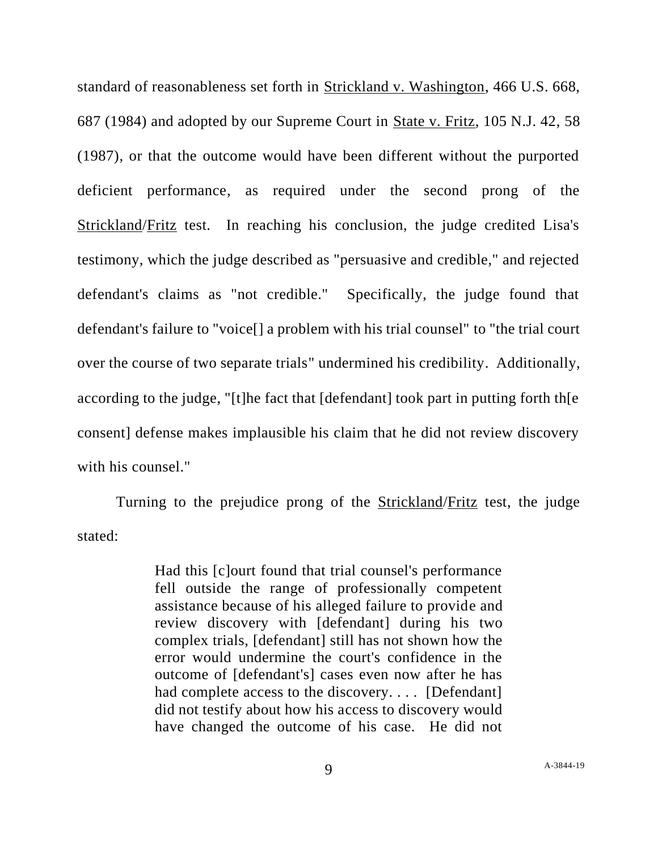standard of reasonableness set forth in Strickland v. Washington, 466 U.S. 668, 687 (1984) and adopted by our Supreme Court in State v. Fritz, 105 N.J. 42, 58 (1987), or that the outcome would have been different without the purported deficient performance, as required under the second prong of the Strickland/Fritz test. In reaching his conclusion, the judge credited Lisa's testimony, which the judge described as "persuasive and credible," and rejected defendant's claims as "not credible." Specifically, the judge found that defendant's failure to "voice[] a problem with his trial counsel" to "the trial court over the course of two separate trials" undermined his credibility. Additionally, according to the judge, "[t]he fact that [defendant] took part in putting forth th[e consent] defense makes implausible his claim that he did not review discovery with his counsel."

Turning to the prejudice prong of the Strickland/Fritz test, the judge stated:

> Had this [c]ourt found that trial counsel's performance fell outside the range of professionally competent assistance because of his alleged failure to provide and review discovery with [defendant] during his two complex trials, [defendant] still has not shown how the error would undermine the court's confidence in the outcome of [defendant's] cases even now after he has had complete access to the discovery.... [Defendant] did not testify about how his access to discovery would have changed the outcome of his case. He did not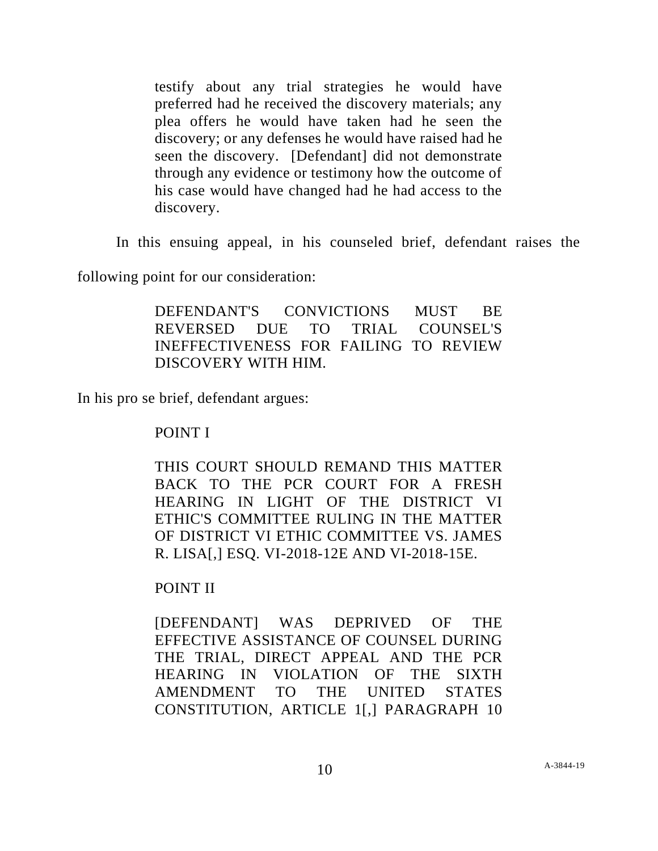testify about any trial strategies he would have preferred had he received the discovery materials; any plea offers he would have taken had he seen the discovery; or any defenses he would have raised had he seen the discovery. [Defendant] did not demonstrate through any evidence or testimony how the outcome of his case would have changed had he had access to the discovery.

In this ensuing appeal, in his counseled brief, defendant raises the

following point for our consideration:

DEFENDANT'S CONVICTIONS MUST BE REVERSED DUE TO TRIAL COUNSEL'S INEFFECTIVENESS FOR FAILING TO REVIEW DISCOVERY WITH HIM.

In his pro se brief, defendant argues:

POINT I

THIS COURT SHOULD REMAND THIS MATTER BACK TO THE PCR COURT FOR A FRESH HEARING IN LIGHT OF THE DISTRICT VI ETHIC'S COMMITTEE RULING IN THE MATTER OF DISTRICT VI ETHIC COMMITTEE VS. JAMES R. LISA[,] ESQ. VI-2018-12E AND VI-2018-15E.

## POINT II

[DEFENDANT] WAS DEPRIVED OF THE EFFECTIVE ASSISTANCE OF COUNSEL DURING THE TRIAL, DIRECT APPEAL AND THE PCR HEARING IN VIOLATION OF THE SIXTH AMENDMENT TO THE UNITED STATES CONSTITUTION, ARTICLE 1[,] PARAGRAPH 10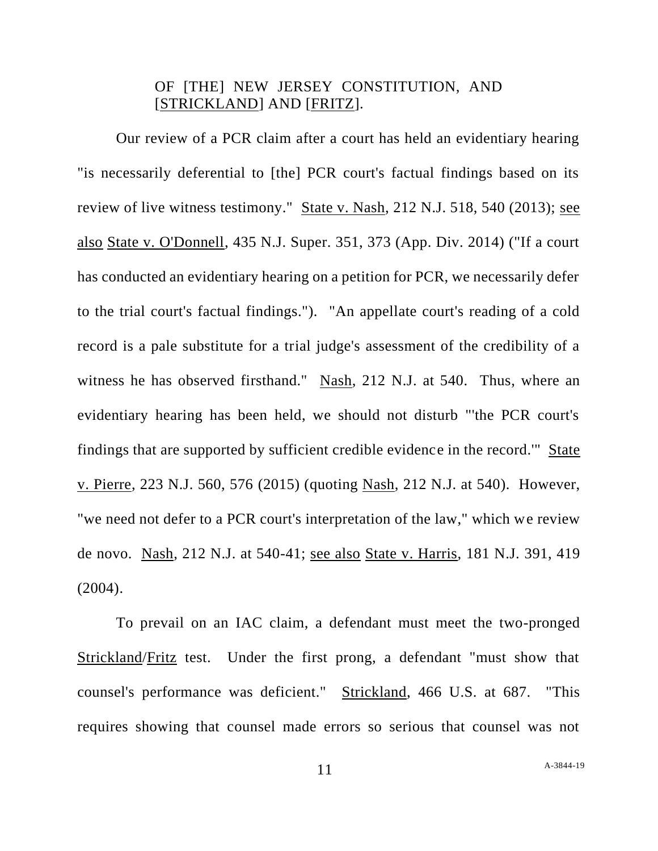# OF [THE] NEW JERSEY CONSTITUTION, AND [STRICKLAND] AND [FRITZ].

Our review of a PCR claim after a court has held an evidentiary hearing "is necessarily deferential to [the] PCR court's factual findings based on its review of live witness testimony." State v. Nash, 212 N.J. 518, 540 (2013); see also State v. O'Donnell, 435 N.J. Super. 351, 373 (App. Div. 2014) ("If a court has conducted an evidentiary hearing on a petition for PCR, we necessarily defer to the trial court's factual findings."). "An appellate court's reading of a cold record is a pale substitute for a trial judge's assessment of the credibility of a witness he has observed firsthand." Nash, 212 N.J. at 540. Thus, where an evidentiary hearing has been held, we should not disturb "'the PCR court's findings that are supported by sufficient credible evidence in the record.'" State v. Pierre, 223 N.J. 560, 576 (2015) (quoting Nash, 212 N.J. at 540). However, "we need not defer to a PCR court's interpretation of the law," which we review de novo. Nash, 212 N.J. at 540-41; see also State v. Harris, 181 N.J. 391, 419  $(2004).$ 

To prevail on an IAC claim, a defendant must meet the two-pronged Strickland/Fritz test. Under the first prong, a defendant "must show that counsel's performance was deficient." Strickland, 466 U.S. at 687. "This requires showing that counsel made errors so serious that counsel was not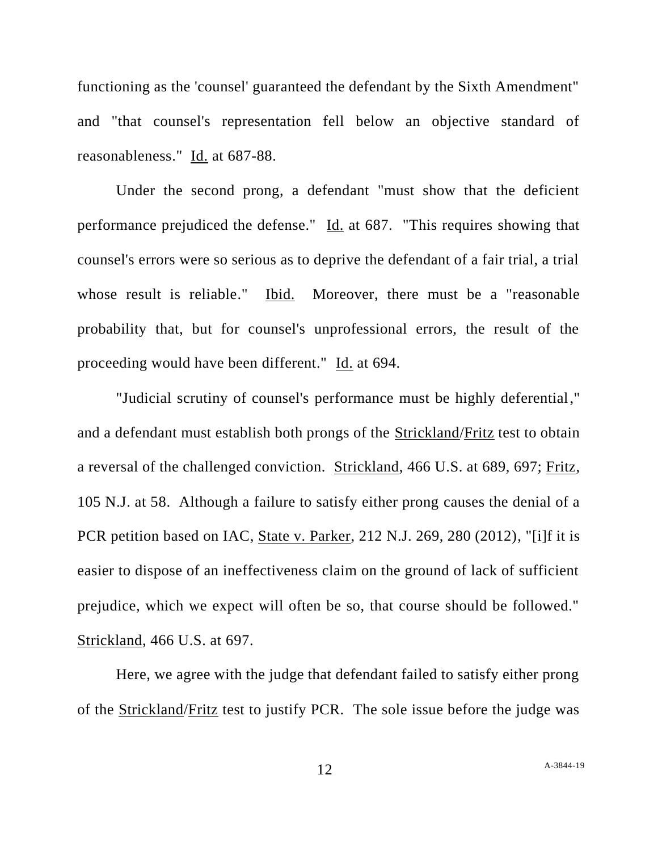functioning as the 'counsel' guaranteed the defendant by the Sixth Amendment" and "that counsel's representation fell below an objective standard of reasonableness." Id. at 687-88.

Under the second prong, a defendant "must show that the deficient performance prejudiced the defense." Id. at 687. "This requires showing that counsel's errors were so serious as to deprive the defendant of a fair trial, a trial whose result is reliable." Ibid. Moreover, there must be a "reasonable probability that, but for counsel's unprofessional errors, the result of the proceeding would have been different." Id. at 694.

"Judicial scrutiny of counsel's performance must be highly deferential," and a defendant must establish both prongs of the Strickland/Fritz test to obtain a reversal of the challenged conviction. Strickland, 466 U.S. at 689, 697; Fritz, 105 N.J. at 58. Although a failure to satisfy either prong causes the denial of a PCR petition based on IAC, State v. Parker, 212 N.J. 269, 280 (2012), "[i]f it is easier to dispose of an ineffectiveness claim on the ground of lack of sufficient prejudice, which we expect will often be so, that course should be followed." Strickland, 466 U.S. at 697.

Here, we agree with the judge that defendant failed to satisfy either prong of the Strickland/Fritz test to justify PCR. The sole issue before the judge was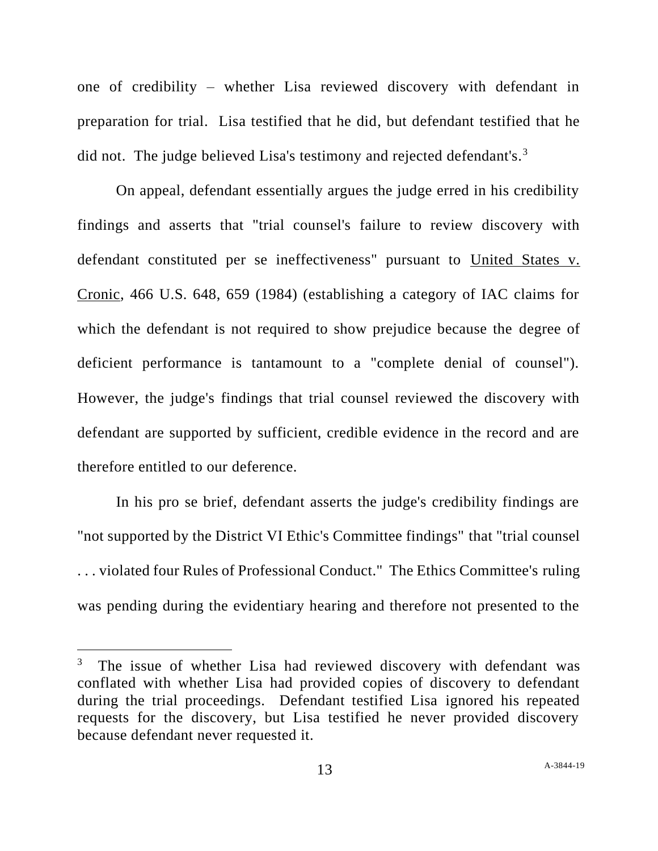one of credibility – whether Lisa reviewed discovery with defendant in preparation for trial. Lisa testified that he did, but defendant testified that he did not. The judge believed Lisa's testimony and rejected defendant's. $3$ 

On appeal, defendant essentially argues the judge erred in his credibility findings and asserts that "trial counsel's failure to review discovery with defendant constituted per se ineffectiveness" pursuant to United States v. Cronic, 466 U.S. 648, 659 (1984) (establishing a category of IAC claims for which the defendant is not required to show prejudice because the degree of deficient performance is tantamount to a "complete denial of counsel"). However, the judge's findings that trial counsel reviewed the discovery with defendant are supported by sufficient, credible evidence in the record and are therefore entitled to our deference.

In his pro se brief, defendant asserts the judge's credibility findings are "not supported by the District VI Ethic's Committee findings" that "trial counsel . . . violated four Rules of Professional Conduct." The Ethics Committee's ruling was pending during the evidentiary hearing and therefore not presented to the

<sup>3</sup> The issue of whether Lisa had reviewed discovery with defendant was conflated with whether Lisa had provided copies of discovery to defendant during the trial proceedings. Defendant testified Lisa ignored his repeated requests for the discovery, but Lisa testified he never provided discovery because defendant never requested it.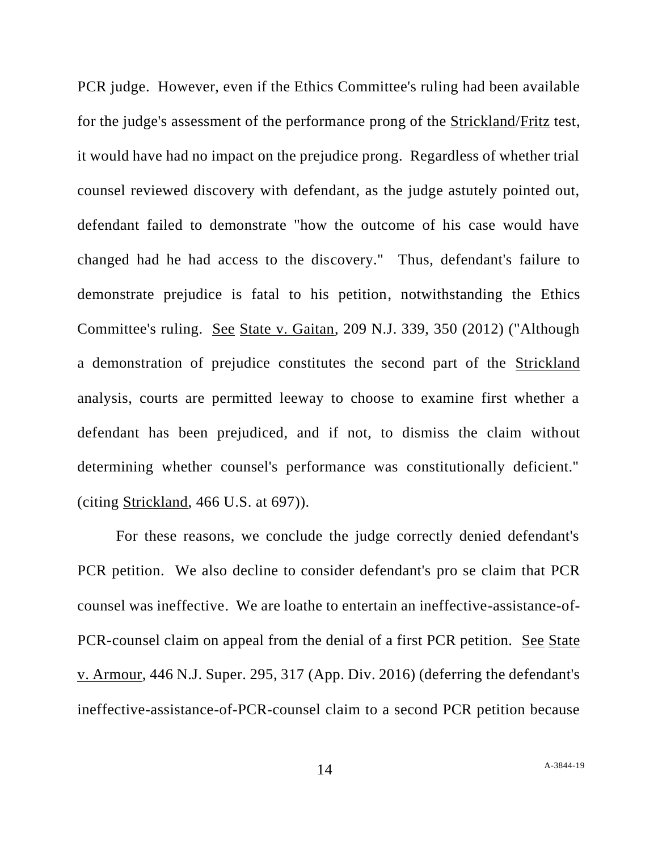PCR judge. However, even if the Ethics Committee's ruling had been available for the judge's assessment of the performance prong of the Strickland/Fritz test, it would have had no impact on the prejudice prong. Regardless of whether trial counsel reviewed discovery with defendant, as the judge astutely pointed out, defendant failed to demonstrate "how the outcome of his case would have changed had he had access to the discovery." Thus, defendant's failure to demonstrate prejudice is fatal to his petition, notwithstanding the Ethics Committee's ruling. See State v. Gaitan, 209 N.J. 339, 350 (2012) ("Although a demonstration of prejudice constitutes the second part of the Strickland analysis, courts are permitted leeway to choose to examine first whether a defendant has been prejudiced, and if not, to dismiss the claim without determining whether counsel's performance was constitutionally deficient." (citing Strickland, 466 U.S. at 697)).

For these reasons, we conclude the judge correctly denied defendant's PCR petition. We also decline to consider defendant's pro se claim that PCR counsel was ineffective. We are loathe to entertain an ineffective-assistance-of-PCR-counsel claim on appeal from the denial of a first PCR petition. See State v. Armour, 446 N.J. Super. 295, 317 (App. Div. 2016) (deferring the defendant's ineffective-assistance-of-PCR-counsel claim to a second PCR petition because